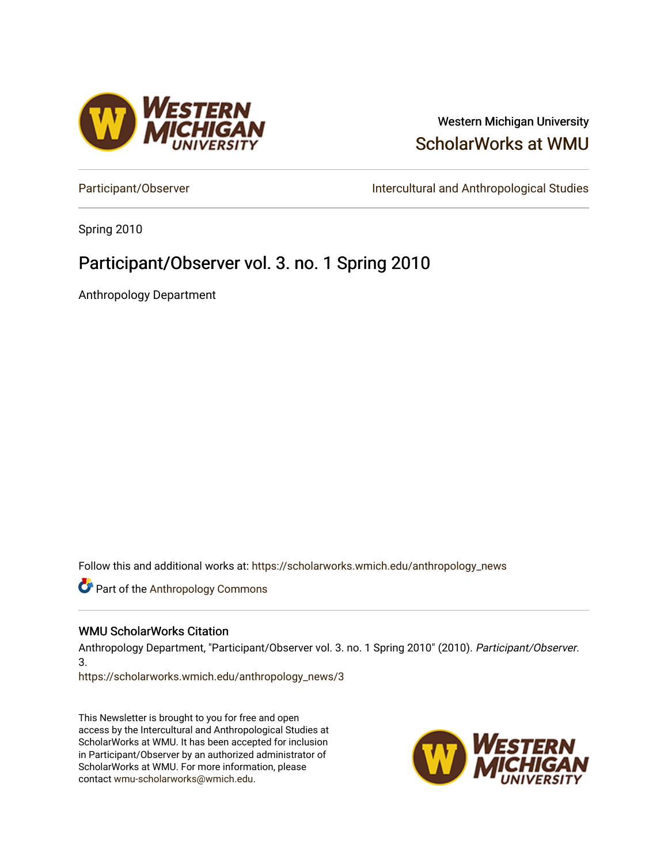

### Western Michigan University [ScholarWorks at WMU](https://scholarworks.wmich.edu/)

[Participant/Observer](https://scholarworks.wmich.edu/anthropology_news) **Intercultural and Anthropological Studies** 

Spring 2010

### Participant/Observer vol. 3. no. 1 Spring 2010

Anthropology Department

Follow this and additional works at: [https://scholarworks.wmich.edu/anthropology\\_news](https://scholarworks.wmich.edu/anthropology_news?utm_source=scholarworks.wmich.edu%2Fanthropology_news%2F3&utm_medium=PDF&utm_campaign=PDFCoverPages) 

**Part of the [Anthropology Commons](http://network.bepress.com/hgg/discipline/318?utm_source=scholarworks.wmich.edu%2Fanthropology_news%2F3&utm_medium=PDF&utm_campaign=PDFCoverPages)** 

#### WMU ScholarWorks Citation

Anthropology Department, "Participant/Observer vol. 3. no. 1 Spring 2010" (2010). Participant/Observer. 3.

[https://scholarworks.wmich.edu/anthropology\\_news/3](https://scholarworks.wmich.edu/anthropology_news/3?utm_source=scholarworks.wmich.edu%2Fanthropology_news%2F3&utm_medium=PDF&utm_campaign=PDFCoverPages) 

This Newsletter is brought to you for free and open access by the Intercultural and Anthropological Studies at ScholarWorks at WMU. It has been accepted for inclusion in Participant/Observer by an authorized administrator of ScholarWorks at WMU. For more information, please contact [wmu-scholarworks@wmich.edu](mailto:wmu-scholarworks@wmich.edu).

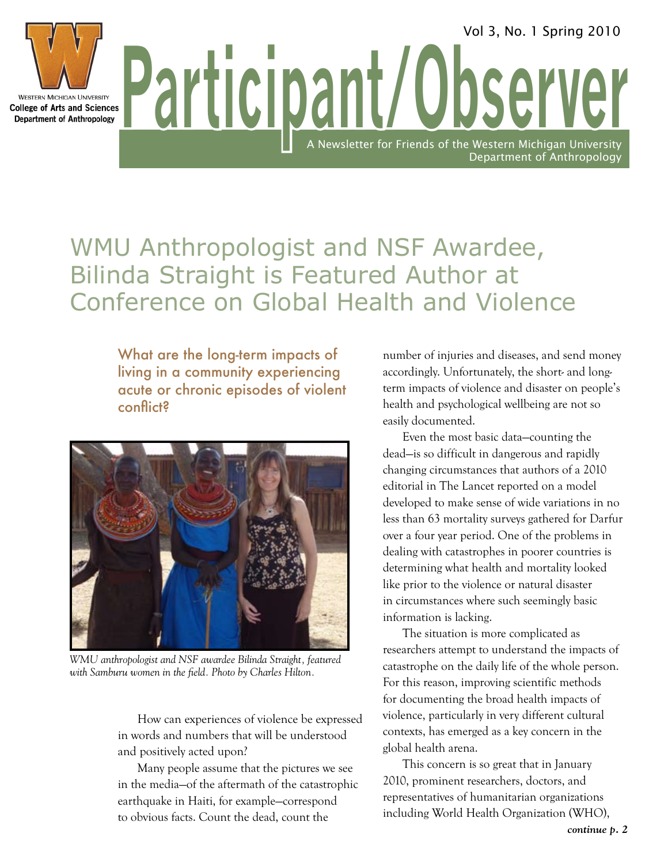Dart College of Arts and Sciences **Participal College of Arts and Sciences WESTERN MICHIGAN UNIVERSITY Department of Anthropology** 

> WMU Anthropologist and NSF Awardee, Bilinda Straight is Featured Author at Conference on Global Health and Violence

What are the long-term impacts of living in a community experiencing acute or chronic episodes of violent conflict?



*WMU anthropologist and NSF awardee Bilinda Straight, featured with Samburu women in the field. Photo by Charles Hilton.*

How can experiences of violence be expressed in words and numbers that will be understood and positively acted upon?

Many people assume that the pictures we see in the media—of the aftermath of the catastrophic earthquake in Haiti, for example—correspond to obvious facts. Count the dead, count the

number of injuries and diseases, and send money accordingly. Unfortunately, the short- and longterm impacts of violence and disaster on people's health and psychological wellbeing are not so easily documented.

**Newsletter for Friends of the Western Michigan University** 

Department of Anthropology

Vol 3, No. 1 Spring 2010

Even the most basic data—counting the dead—is so difficult in dangerous and rapidly changing circumstances that authors of a 2010 editorial in The Lancet reported on a model developed to make sense of wide variations in no less than 63 mortality surveys gathered for Darfur over a four year period. One of the problems in dealing with catastrophes in poorer countries is determining what health and mortality looked like prior to the violence or natural disaster in circumstances where such seemingly basic information is lacking.

The situation is more complicated as researchers attempt to understand the impacts of catastrophe on the daily life of the whole person. For this reason, improving scientific methods for documenting the broad health impacts of violence, particularly in very different cultural contexts, has emerged as a key concern in the global health arena.

This concern is so great that in January 2010, prominent researchers, doctors, and representatives of humanitarian organizations including World Health Organization (WHO),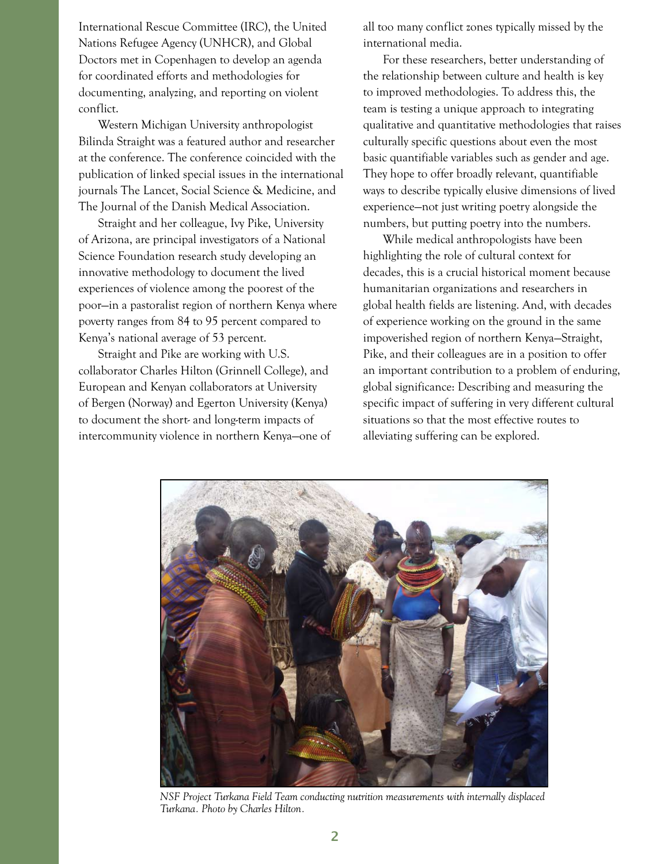International Rescue Committee (IRC), the United Nations Refugee Agency (UNHCR), and Global Doctors met in Copenhagen to develop an agenda for coordinated efforts and methodologies for documenting, analyzing, and reporting on violent conflict.

Western Michigan University anthropologist Bilinda Straight was a featured author and researcher at the conference. The conference coincided with the publication of linked special issues in the international journals The Lancet, Social Science & Medicine, and The Journal of the Danish Medical Association.

Straight and her colleague, Ivy Pike, University of Arizona, are principal investigators of a National Science Foundation research study developing an innovative methodology to document the lived experiences of violence among the poorest of the poor—in a pastoralist region of northern Kenya where poverty ranges from 84 to 95 percent compared to Kenya's national average of 53 percent.

Straight and Pike are working with U.S. collaborator Charles Hilton (Grinnell College), and European and Kenyan collaborators at University of Bergen (Norway) and Egerton University (Kenya) to document the short- and long-term impacts of intercommunity violence in northern Kenya—one of all too many conflict zones typically missed by the international media.

For these researchers, better understanding of the relationship between culture and health is key to improved methodologies. To address this, the team is testing a unique approach to integrating qualitative and quantitative methodologies that raises culturally specific questions about even the most basic quantifiable variables such as gender and age. They hope to offer broadly relevant, quantifiable ways to describe typically elusive dimensions of lived experience—not just writing poetry alongside the numbers, but putting poetry into the numbers.

While medical anthropologists have been highlighting the role of cultural context for decades, this is a crucial historical moment because humanitarian organizations and researchers in global health fields are listening. And, with decades of experience working on the ground in the same impoverished region of northern Kenya—Straight, Pike, and their colleagues are in a position to offer an important contribution to a problem of enduring, global significance: Describing and measuring the specific impact of suffering in very different cultural situations so that the most effective routes to alleviating suffering can be explored.



*NSF Project Turkana Field Team conducting nutrition measurements with internally displaced Turkana. Photo by Charles Hilton.*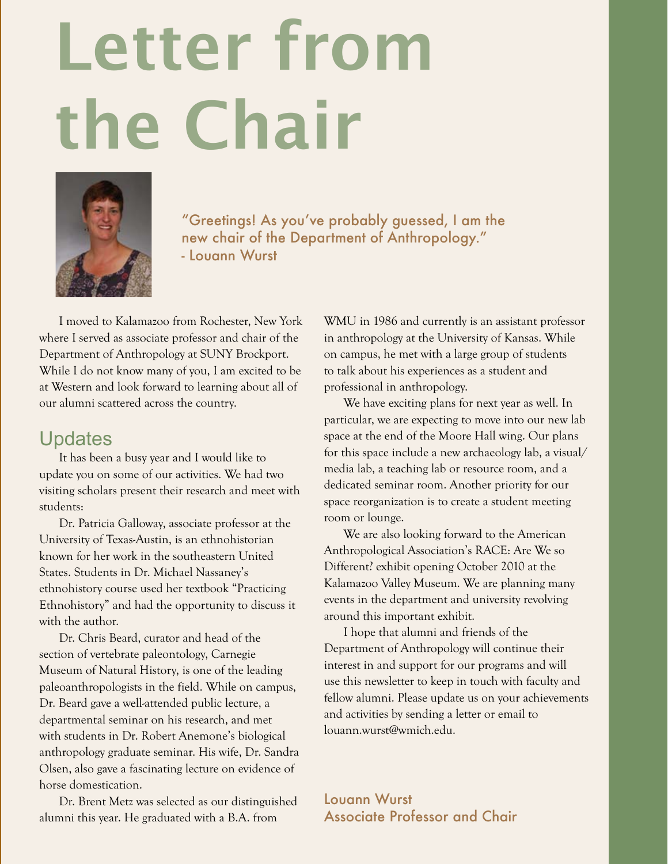# Letter from the Chair



"Greetings! As you've probably guessed, I am the new chair of the Department of Anthropology." - Louann Wurst

I moved to Kalamazoo from Rochester, New York where I served as associate professor and chair of the Department of Anthropology at SUNY Brockport. While I do not know many of you, I am excited to be at Western and look forward to learning about all of our alumni scattered across the country.

### **Updates**

It has been a busy year and I would like to update you on some of our activities. We had two visiting scholars present their research and meet with students:

Dr. Patricia Galloway, associate professor at the University of Texas-Austin, is an ethnohistorian known for her work in the southeastern United States. Students in Dr. Michael Nassaney's ethnohistory course used her textbook "Practicing Ethnohistory" and had the opportunity to discuss it with the author.

Dr. Chris Beard, curator and head of the section of vertebrate paleontology, Carnegie Museum of Natural History, is one of the leading paleoanthropologists in the field. While on campus, Dr. Beard gave a well-attended public lecture, a departmental seminar on his research, and met with students in Dr. Robert Anemone's biological anthropology graduate seminar. His wife, Dr. Sandra Olsen, also gave a fascinating lecture on evidence of horse domestication.

Dr. Brent Metz was selected as our distinguished alumni this year. He graduated with a B.A. from

WMU in 1986 and currently is an assistant professor in anthropology at the University of Kansas. While on campus, he met with a large group of students to talk about his experiences as a student and professional in anthropology.

We have exciting plans for next year as well. In particular, we are expecting to move into our new lab space at the end of the Moore Hall wing. Our plans for this space include a new archaeology lab, a visual/ media lab, a teaching lab or resource room, and a dedicated seminar room. Another priority for our space reorganization is to create a student meeting room or lounge.

We are also looking forward to the American Anthropological Association's RACE: Are We so Different? exhibit opening October 2010 at the Kalamazoo Valley Museum. We are planning many events in the department and university revolving around this important exhibit.

I hope that alumni and friends of the Department of Anthropology will continue their interest in and support for our programs and will use this newsletter to keep in touch with faculty and fellow alumni. Please update us on your achievements and activities by sending a letter or email to louann.wurst@wmich.edu.

Louann Wurst Associate Professor and Chair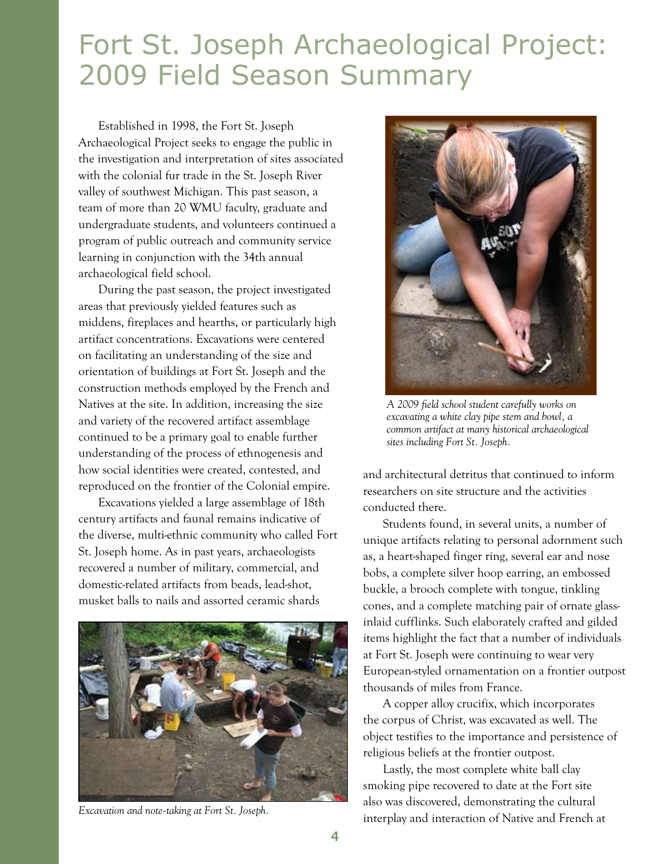## Fort St. Joseph Archaeological Project: 2009 Field Season Summary

Established in 1998, the Fort St. Joseph Archaeological Project seeks to engage the public in the investigation and interpretation of sites associated with the colonial fur trade in the St. Joseph River valley of southwest Michigan. This past season, a team of more than 20 WMU faculty, graduate and undergraduate students, and volunteers continued a program of public outreach and community service learning in conjunction with the 34th annual archaeological field school.

During the past season, the project investigated areas that previously yielded features such as middens, fireplaces and hearths, or particularly high artifact concentrations. Excavations were centered on facilitating an understanding of the size and orientation of buildings at Fort St. Joseph and the construction methods employed by the French and Natives at the site. In addition, increasing the size and variety of the recovered artifact assemblage continued to be a primary goal to enable further understanding of the process of ethnogenesis and how social identities were created, contested, and reproduced on the frontier of the Colonial empire.

Excavations yielded a large assemblage of 18th century artifacts and faunal remains indicative of the diverse, multi-ethnic community who called Fort St. Joseph home. As in past years, archaeologists recovered a number of military, commercial, and domestic-related artifacts from beads, lead-shot, musket balls to nails and assorted ceramic shards



*Excavation and note-taking at Fort St. Joseph.*



*A 2009 field school student carefully works on excavating a white clay pipe stem and bowl, a common artifact at many historical archaeological sites including Fort St. Joseph.*

and architectural detritus that continued to inform researchers on site structure and the activities conducted there.

Students found, in several units, a number of unique artifacts relating to personal adornment such as, a heart-shaped finger ring, several ear and nose bobs, a complete silver hoop earring, an embossed buckle, a brooch complete with tongue, tinkling cones, and a complete matching pair of ornate glassinlaid cufflinks. Such elaborately crafted and gilded items highlight the fact that a number of individuals at Fort St. Joseph were continuing to wear very European-styled ornamentation on a frontier outpost thousands of miles from France.

A copper alloy crucifix, which incorporates the corpus of Christ, was excavated as well. The object testifies to the importance and persistence of religious beliefs at the frontier outpost.

Lastly, the most complete white ball clay smoking pipe recovered to date at the Fort site also was discovered, demonstrating the cultural interplay and interaction of Native and French at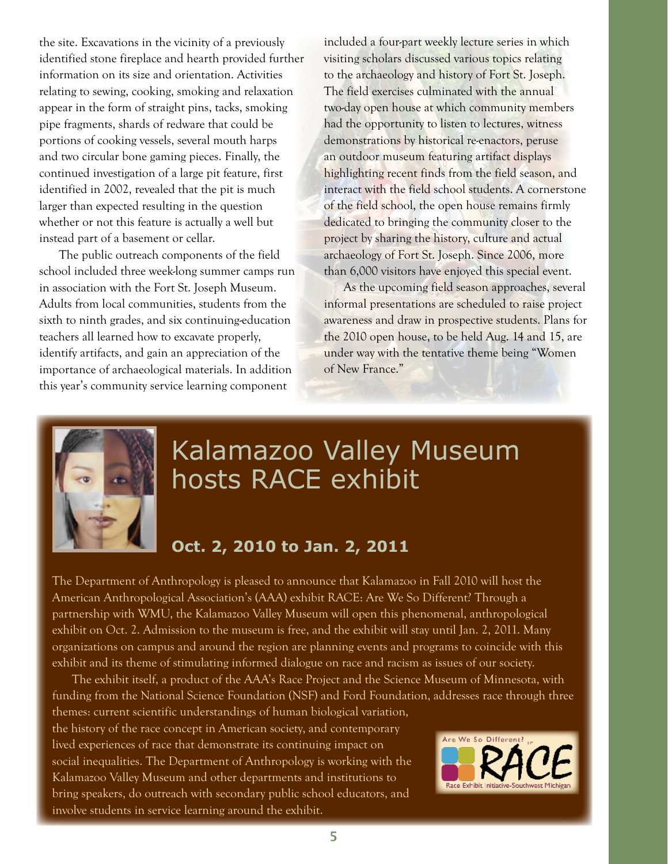the site. Excavations in the vicinity of a previously identified stone fireplace and hearth provided further information on its size and orientation. Activities relating to sewing, cooking, smoking and relaxation appear in the form of straight pins, tacks, smoking pipe fragments, shards of redware that could be portions of cooking vessels, several mouth harps and two circular bone gaming pieces. Finally, the continued investigation of a large pit feature, first identified in 2002, revealed that the pit is much larger than expected resulting in the question whether or not this feature is actually a well but instead part of a basement or cellar.

The public outreach components of the field school included three week-long summer camps run in association with the Fort St. Joseph Museum. Adults from local communities, students from the sixth to ninth grades, and six continuing-education teachers all learned how to excavate properly, identify artifacts, and gain an appreciation of the importance of archaeological materials. In addition this year's community service learning component

included a four-part weekly lecture series in which visiting scholars discussed various topics relating to the archaeology and history of Fort St. Joseph. The field exercises culminated with the annual two-day open house at which community members had the opportunity to listen to lectures, witness demonstrations by historical re-enactors, peruse an outdoor museum featuring artifact displays highlighting recent finds from the field season, and interact with the field school students. A cornerstone of the field school, the open house remains firmly dedicated to bringing the community closer to the project by sharing the history, culture and actual archaeology of Fort St. Joseph. Since 2006, more than 6,000 visitors have enjoyed this special event.

As the upcoming field season approaches, several informal presentations are scheduled to raise project awareness and draw in prospective students. Plans for the 2010 open house, to be held Aug. 14 and 15, are under way with the tentative theme being "Women of New France."



## Kalamazoo Valley Museum hosts RACE exhibit

#### **Oct. 2, 2010 to Jan. 2, 2011**

The Department of Anthropology is pleased to announce that Kalamazoo in Fall 2010 will host the American Anthropological Association's (AAA) exhibit RACE: Are We So Different? Through a partnership with WMU, the Kalamazoo Valley Museum will open this phenomenal, anthropological exhibit on Oct. 2. Admission to the museum is free, and the exhibit will stay until Jan. 2, 2011. Many organizations on campus and around the region are planning events and programs to coincide with this exhibit and its theme of stimulating informed dialogue on race and racism as issues of our society.

The exhibit itself, a product of the AAA's Race Project and the Science Museum of Minnesota, with funding from the National Science Foundation (NSF) and Ford Foundation, addresses race through three themes: current scientific understandings of human biological variation,

the history of the race concept in American society, and contemporary lived experiences of race that demonstrate its continuing impact on social inequalities. The Department of Anthropology is working with the Kalamazoo Valley Museum and other departments and institutions to bring speakers, do outreach with secondary public school educators, and involve students in service learning around the exhibit.

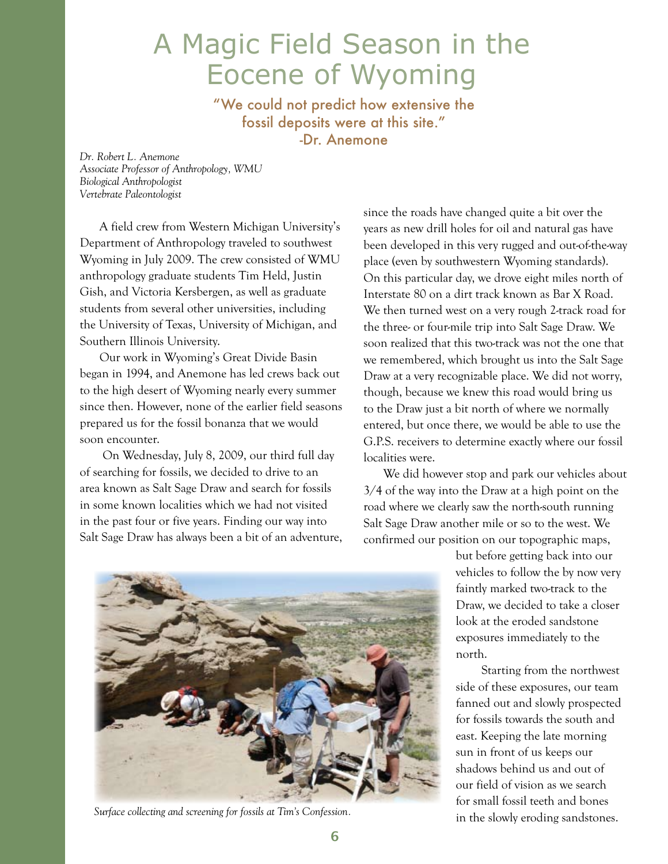## A Magic Field Season in the Eocene of Wyoming

"We could not predict how extensive the fossil deposits were at this site." -Dr. Anemone

*Dr. Robert L. Anemone Associate Professor of Anthropology, WMU Biological Anthropologist Vertebrate Paleontologist*

A field crew from Western Michigan University's Department of Anthropology traveled to southwest Wyoming in July 2009. The crew consisted of WMU anthropology graduate students Tim Held, Justin Gish, and Victoria Kersbergen, as well as graduate students from several other universities, including the University of Texas, University of Michigan, and Southern Illinois University.

Our work in Wyoming's Great Divide Basin began in 1994, and Anemone has led crews back out to the high desert of Wyoming nearly every summer since then. However, none of the earlier field seasons prepared us for the fossil bonanza that we would soon encounter.

 On Wednesday, July 8, 2009, our third full day of searching for fossils, we decided to drive to an area known as Salt Sage Draw and search for fossils in some known localities which we had not visited in the past four or five years. Finding our way into Salt Sage Draw has always been a bit of an adventure, since the roads have changed quite a bit over the years as new drill holes for oil and natural gas have been developed in this very rugged and out-of-the-way place (even by southwestern Wyoming standards). On this particular day, we drove eight miles north of Interstate 80 on a dirt track known as Bar X Road. We then turned west on a very rough 2-track road for the three- or four-mile trip into Salt Sage Draw. We soon realized that this two-track was not the one that we remembered, which brought us into the Salt Sage Draw at a very recognizable place. We did not worry, though, because we knew this road would bring us to the Draw just a bit north of where we normally entered, but once there, we would be able to use the G.P.S. receivers to determine exactly where our fossil localities were.

We did however stop and park our vehicles about 3/4 of the way into the Draw at a high point on the road where we clearly saw the north-south running Salt Sage Draw another mile or so to the west. We confirmed our position on our topographic maps,



*Surface collecting and screening for fossils at Tim's Confession.*

but before getting back into our vehicles to follow the by now very faintly marked two-track to the Draw, we decided to take a closer look at the eroded sandstone exposures immediately to the north.

Starting from the northwest side of these exposures, our team fanned out and slowly prospected for fossils towards the south and east. Keeping the late morning sun in front of us keeps our shadows behind us and out of our field of vision as we search for small fossil teeth and bones in the slowly eroding sandstones.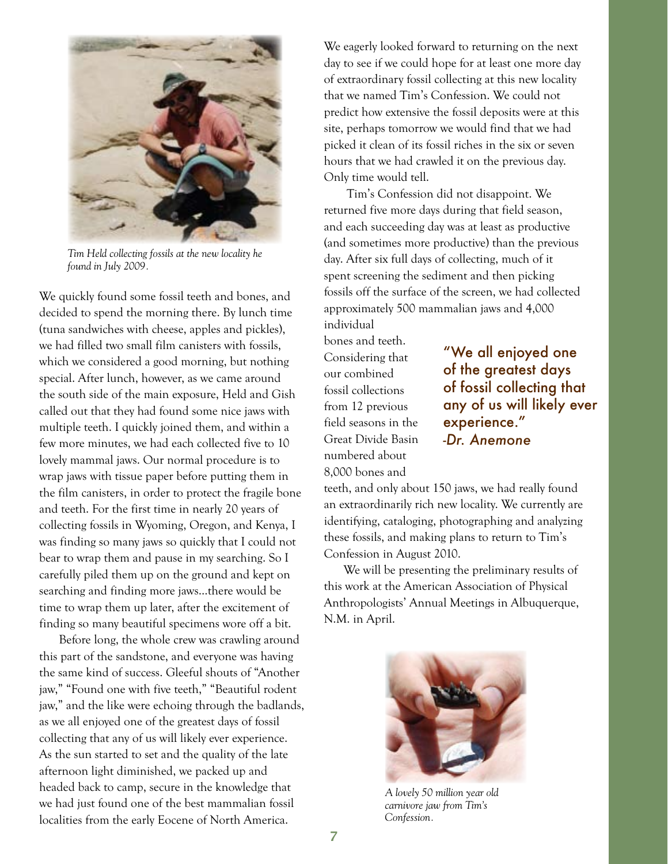

*Tim Held collecting fossils at the new locality he found in July 2009.*

We quickly found some fossil teeth and bones, and decided to spend the morning there. By lunch time (tuna sandwiches with cheese, apples and pickles), we had filled two small film canisters with fossils, which we considered a good morning, but nothing special. After lunch, however, as we came around the south side of the main exposure, Held and Gish called out that they had found some nice jaws with multiple teeth. I quickly joined them, and within a few more minutes, we had each collected five to 10 lovely mammal jaws. Our normal procedure is to wrap jaws with tissue paper before putting them in the film canisters, in order to protect the fragile bone and teeth. For the first time in nearly 20 years of collecting fossils in Wyoming, Oregon, and Kenya, I was finding so many jaws so quickly that I could not bear to wrap them and pause in my searching. So I carefully piled them up on the ground and kept on searching and finding more jaws…there would be time to wrap them up later, after the excitement of finding so many beautiful specimens wore off a bit.

Before long, the whole crew was crawling around this part of the sandstone, and everyone was having the same kind of success. Gleeful shouts of "Another jaw," "Found one with five teeth," "Beautiful rodent jaw," and the like were echoing through the badlands, as we all enjoyed one of the greatest days of fossil collecting that any of us will likely ever experience. As the sun started to set and the quality of the late afternoon light diminished, we packed up and headed back to camp, secure in the knowledge that we had just found one of the best mammalian fossil localities from the early Eocene of North America.

We eagerly looked forward to returning on the next day to see if we could hope for at least one more day of extraordinary fossil collecting at this new locality that we named Tim's Confession. We could not predict how extensive the fossil deposits were at this site, perhaps tomorrow we would find that we had picked it clean of its fossil riches in the six or seven hours that we had crawled it on the previous day. Only time would tell.

 Tim's Confession did not disappoint. We returned five more days during that field season, and each succeeding day was at least as productive (and sometimes more productive) than the previous day. After six full days of collecting, much of it spent screening the sediment and then picking fossils off the surface of the screen, we had collected approximately 500 mammalian jaws and 4,000 individual

bones and teeth. Considering that our combined fossil collections from 12 previous field seasons in the Great Divide Basin numbered about 8,000 bones and

"We all enjoyed one of the greatest days of fossil collecting that any of us will likely ever experience." *-Dr. Anemone*

teeth, and only about 150 jaws, we had really found an extraordinarily rich new locality. We currently are identifying, cataloging, photographing and analyzing these fossils, and making plans to return to Tim's Confession in August 2010.

We will be presenting the preliminary results of this work at the American Association of Physical Anthropologists' Annual Meetings in Albuquerque, N.M. in April.



*A lovely 50 million year old carnivore jaw from Tim's Confession.*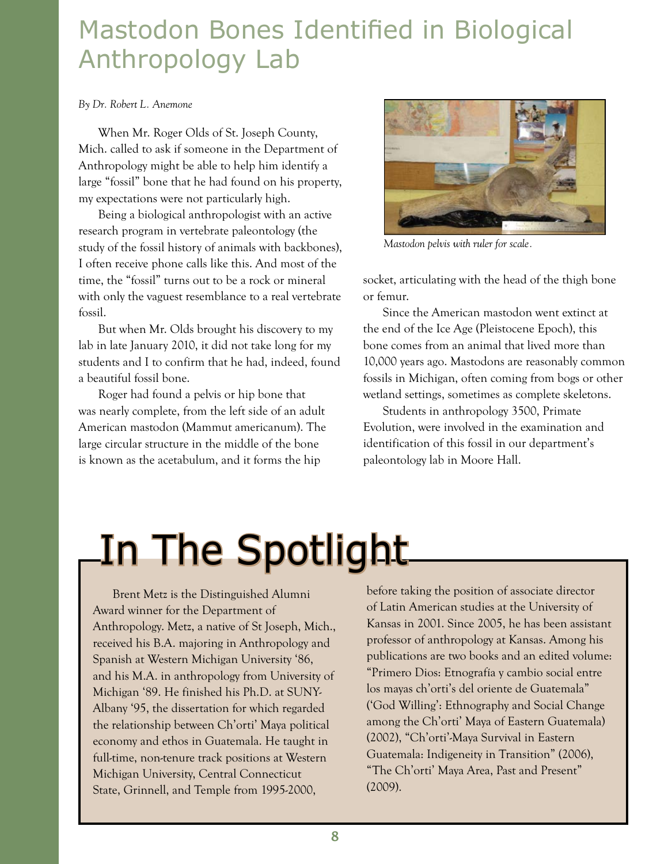## Mastodon Bones Identified in Biological Anthropology Lab

#### *By Dr. Robert L. Anemone*

When Mr. Roger Olds of St. Joseph County, Mich. called to ask if someone in the Department of Anthropology might be able to help him identify a large "fossil" bone that he had found on his property, my expectations were not particularly high.

Being a biological anthropologist with an active research program in vertebrate paleontology (the study of the fossil history of animals with backbones), I often receive phone calls like this. And most of the time, the "fossil" turns out to be a rock or mineral with only the vaguest resemblance to a real vertebrate fossil.

But when Mr. Olds brought his discovery to my lab in late January 2010, it did not take long for my students and I to confirm that he had, indeed, found a beautiful fossil bone.

Roger had found a pelvis or hip bone that was nearly complete, from the left side of an adult American mastodon (Mammut americanum). The large circular structure in the middle of the bone is known as the acetabulum, and it forms the hip



*Mastodon pelvis with ruler for scale.*

socket, articulating with the head of the thigh bone or femur.

Since the American mastodon went extinct at the end of the Ice Age (Pleistocene Epoch), this bone comes from an animal that lived more than 10,000 years ago. Mastodons are reasonably common fossils in Michigan, often coming from bogs or other wetland settings, sometimes as complete skeletons.

Students in anthropology 3500, Primate Evolution, were involved in the examination and identification of this fossil in our department's paleontology lab in Moore Hall.

## In The Spotlight

Brent Metz is the Distinguished Alumni Award winner for the Department of Anthropology. Metz, a native of St Joseph, Mich., received his B.A. majoring in Anthropology and Spanish at Western Michigan University '86, and his M.A. in anthropology from University of Michigan '89. He finished his Ph.D. at SUNY-Albany '95, the dissertation for which regarded the relationship between Ch'orti' Maya political economy and ethos in Guatemala. He taught in full-time, non-tenure track positions at Western Michigan University, Central Connecticut State, Grinnell, and Temple from 1995-2000,

before taking the position of associate director of Latin American studies at the University of Kansas in 2001. Since 2005, he has been assistant professor of anthropology at Kansas. Among his publications are two books and an edited volume: "Primero Dios: Etnografía y cambio social entre los mayas ch'orti's del oriente de Guatemala" ('God Willing': Ethnography and Social Change among the Ch'orti' Maya of Eastern Guatemala) (2002), "Ch'orti'-Maya Survival in Eastern Guatemala: Indigeneity in Transition" (2006), "The Ch'orti' Maya Area, Past and Present" (2009).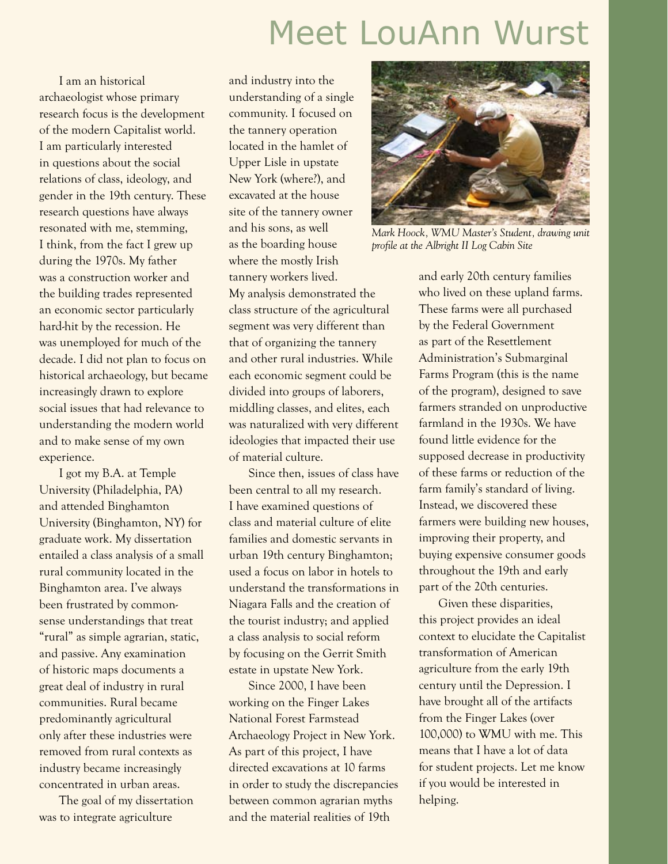## Meet LouAnn Wurst

I am an historical archaeologist whose primary research focus is the development of the modern Capitalist world. I am particularly interested in questions about the social relations of class, ideology, and gender in the 19th century. These research questions have always resonated with me, stemming, I think, from the fact I grew up during the 1970s. My father was a construction worker and the building trades represented an economic sector particularly hard-hit by the recession. He was unemployed for much of the decade. I did not plan to focus on historical archaeology, but became increasingly drawn to explore social issues that had relevance to understanding the modern world and to make sense of my own experience.

I got my B.A. at Temple University (Philadelphia, PA) and attended Binghamton University (Binghamton, NY) for graduate work. My dissertation entailed a class analysis of a small rural community located in the Binghamton area. I've always been frustrated by commonsense understandings that treat "rural" as simple agrarian, static, and passive. Any examination of historic maps documents a great deal of industry in rural communities. Rural became predominantly agricultural only after these industries were removed from rural contexts as industry became increasingly concentrated in urban areas.

The goal of my dissertation was to integrate agriculture

and industry into the understanding of a single community. I focused on the tannery operation located in the hamlet of Upper Lisle in upstate New York (where?), and excavated at the house site of the tannery owner and his sons, as well as the boarding house where the mostly Irish

tannery workers lived. My analysis demonstrated the class structure of the agricultural segment was very different than that of organizing the tannery and other rural industries. While each economic segment could be divided into groups of laborers, middling classes, and elites, each was naturalized with very different ideologies that impacted their use of material culture.

Since then, issues of class have been central to all my research. I have examined questions of class and material culture of elite families and domestic servants in urban 19th century Binghamton; used a focus on labor in hotels to understand the transformations in Niagara Falls and the creation of the tourist industry; and applied a class analysis to social reform by focusing on the Gerrit Smith estate in upstate New York.

Since 2000, I have been working on the Finger Lakes National Forest Farmstead Archaeology Project in New York. As part of this project, I have directed excavations at 10 farms in order to study the discrepancies between common agrarian myths and the material realities of 19th



*Mark Hoock, WMU Master's Student, drawing unit profile at the Albright II Log Cabin Site*

and early 20th century families who lived on these upland farms. These farms were all purchased by the Federal Government as part of the Resettlement Administration's Submarginal Farms Program (this is the name of the program), designed to save farmers stranded on unproductive farmland in the 1930s. We have found little evidence for the supposed decrease in productivity of these farms or reduction of the farm family's standard of living. Instead, we discovered these farmers were building new houses, improving their property, and buying expensive consumer goods throughout the 19th and early part of the 20th centuries.

Given these disparities, this project provides an ideal context to elucidate the Capitalist transformation of American agriculture from the early 19th century until the Depression. I have brought all of the artifacts from the Finger Lakes (over 100,000) to WMU with me. This means that I have a lot of data for student projects. Let me know if you would be interested in helping.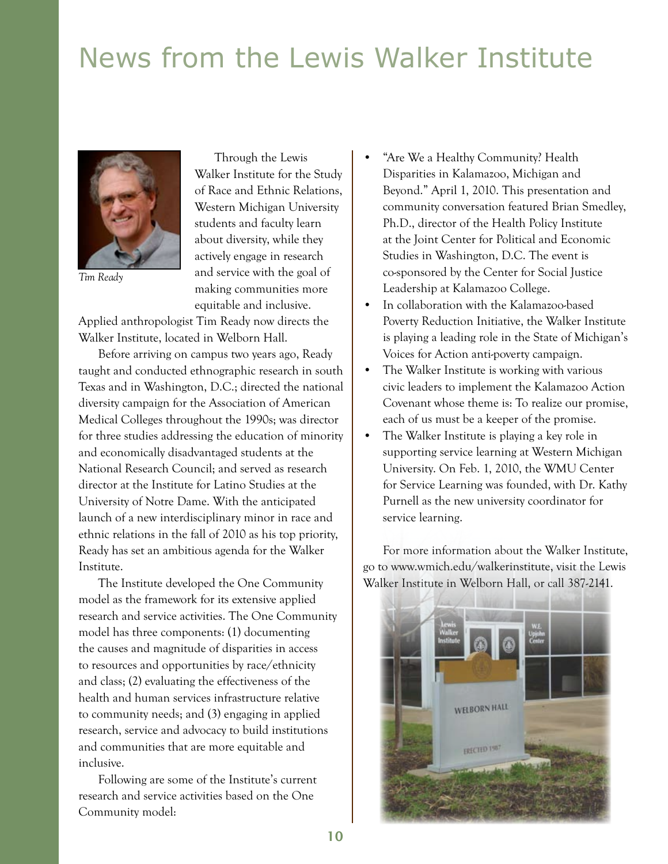## News from the Lewis Walker Institute



*Tim Ready*

Through the Lewis Walker Institute for the Study of Race and Ethnic Relations, Western Michigan University students and faculty learn about diversity, while they actively engage in research and service with the goal of making communities more equitable and inclusive.

Applied anthropologist Tim Ready now directs the Walker Institute, located in Welborn Hall.

Before arriving on campus two years ago, Ready taught and conducted ethnographic research in south Texas and in Washington, D.C.; directed the national diversity campaign for the Association of American Medical Colleges throughout the 1990s; was director for three studies addressing the education of minority and economically disadvantaged students at the National Research Council; and served as research director at the Institute for Latino Studies at the University of Notre Dame. With the anticipated launch of a new interdisciplinary minor in race and ethnic relations in the fall of 2010 as his top priority, Ready has set an ambitious agenda for the Walker Institute.

The Institute developed the One Community model as the framework for its extensive applied research and service activities. The One Community model has three components: (1) documenting the causes and magnitude of disparities in access to resources and opportunities by race/ethnicity and class; (2) evaluating the effectiveness of the health and human services infrastructure relative to community needs; and (3) engaging in applied research, service and advocacy to build institutions and communities that are more equitable and inclusive.

Following are some of the Institute's current research and service activities based on the One Community model:

- "Are We a Healthy Community? Health Disparities in Kalamazoo, Michigan and Beyond." April 1, 2010. This presentation and community conversation featured Brian Smedley, Ph.D., director of the Health Policy Institute at the Joint Center for Political and Economic Studies in Washington, D.C. The event is co-sponsored by the Center for Social Justice Leadership at Kalamazoo College.
- In collaboration with the Kalamazoo-based Poverty Reduction Initiative, the Walker Institute is playing a leading role in the State of Michigan's Voices for Action anti-poverty campaign.
- The Walker Institute is working with various civic leaders to implement the Kalamazoo Action Covenant whose theme is: To realize our promise, each of us must be a keeper of the promise.
- The Walker Institute is playing a key role in supporting service learning at Western Michigan University. On Feb. 1, 2010, the WMU Center for Service Learning was founded, with Dr. Kathy Purnell as the new university coordinator for service learning.

For more information about the Walker Institute, go to www.wmich.edu/walkerinstitute, visit the Lewis Walker Institute in Welborn Hall, or call 387-2141.

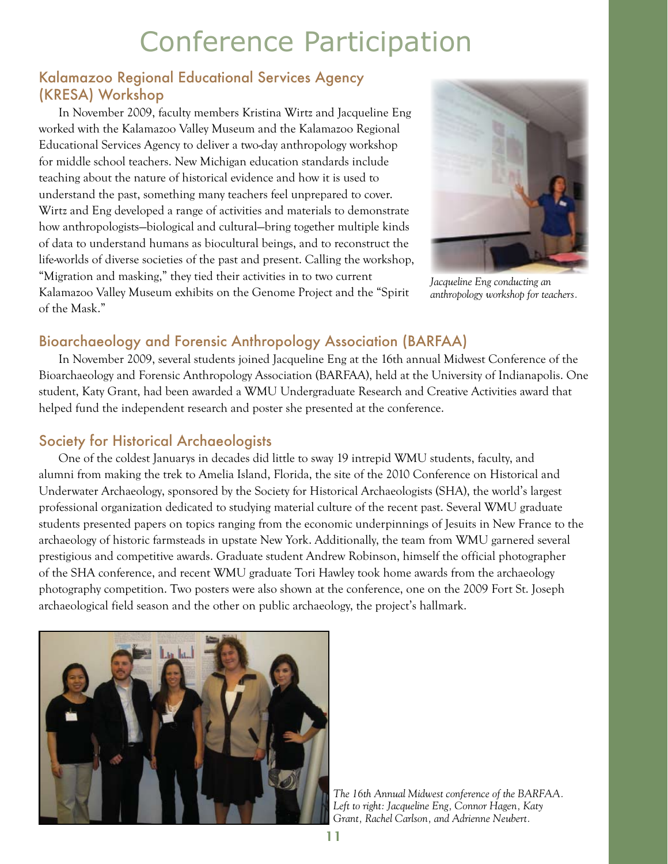## Conference Participation

#### Kalamazoo Regional Educational Services Agency (KRESA) Workshop

In November 2009, faculty members Kristina Wirtz and Jacqueline Eng worked with the Kalamazoo Valley Museum and the Kalamazoo Regional Educational Services Agency to deliver a two-day anthropology workshop for middle school teachers. New Michigan education standards include teaching about the nature of historical evidence and how it is used to understand the past, something many teachers feel unprepared to cover. Wirtz and Eng developed a range of activities and materials to demonstrate how anthropologists—biological and cultural—bring together multiple kinds of data to understand humans as biocultural beings, and to reconstruct the life-worlds of diverse societies of the past and present. Calling the workshop, "Migration and masking," they tied their activities in to two current Kalamazoo Valley Museum exhibits on the Genome Project and the "Spirit of the Mask."



*Jacqueline Eng conducting an anthropology workshop for teachers.*

#### Bioarchaeology and Forensic Anthropology Association (BARFAA)

In November 2009, several students joined Jacqueline Eng at the 16th annual Midwest Conference of the Bioarchaeology and Forensic Anthropology Association (BARFAA), held at the University of Indianapolis. One student, Katy Grant, had been awarded a WMU Undergraduate Research and Creative Activities award that helped fund the independent research and poster she presented at the conference.

#### Society for Historical Archaeologists

One of the coldest Januarys in decades did little to sway 19 intrepid WMU students, faculty, and alumni from making the trek to Amelia Island, Florida, the site of the 2010 Conference on Historical and Underwater Archaeology, sponsored by the Society for Historical Archaeologists (SHA), the world's largest professional organization dedicated to studying material culture of the recent past. Several WMU graduate students presented papers on topics ranging from the economic underpinnings of Jesuits in New France to the archaeology of historic farmsteads in upstate New York. Additionally, the team from WMU garnered several prestigious and competitive awards. Graduate student Andrew Robinson, himself the official photographer of the SHA conference, and recent WMU graduate Tori Hawley took home awards from the archaeology photography competition. Two posters were also shown at the conference, one on the 2009 Fort St. Joseph archaeological field season and the other on public archaeology, the project's hallmark.



*The 16th Annual Midwest conference of the BARFAA. Left to right: Jacqueline Eng, Connor Hagen, Katy Grant, Rachel Carlson, and Adrienne Neubert.*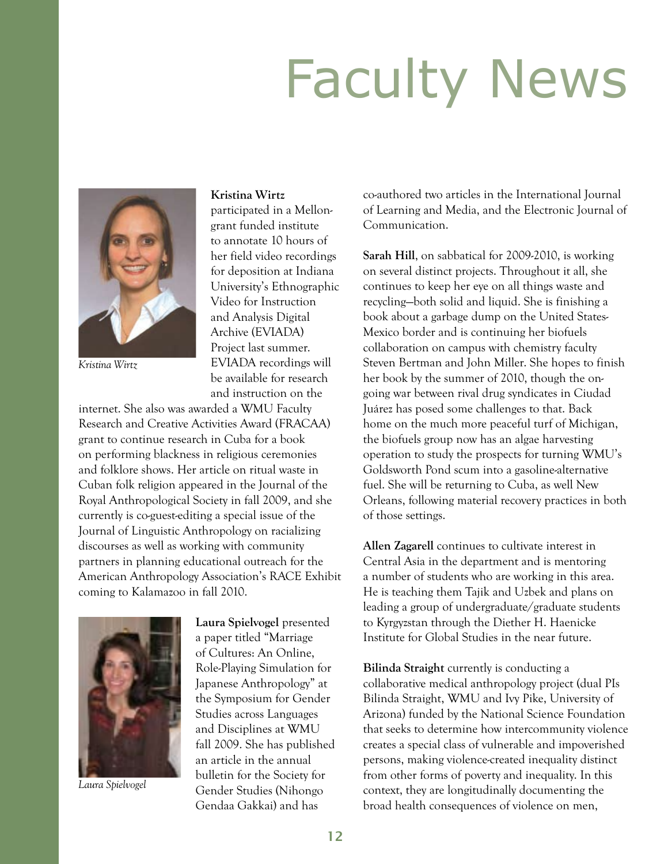## Faculty News



*Kristina Wirtz*

#### **Kristina Wirtz**

participated in a Mellongrant funded institute to annotate 10 hours of her field video recordings for deposition at Indiana University's Ethnographic Video for Instruction and Analysis Digital Archive (EVIADA) Project last summer. EVIADA recordings will be available for research and instruction on the

internet. She also was awarded a WMU Faculty Research and Creative Activities Award (FRACAA) grant to continue research in Cuba for a book on performing blackness in religious ceremonies and folklore shows. Her article on ritual waste in Cuban folk religion appeared in the Journal of the Royal Anthropological Society in fall 2009, and she currently is co-guest-editing a special issue of the Journal of Linguistic Anthropology on racializing discourses as well as working with community partners in planning educational outreach for the American Anthropology Association's RACE Exhibit coming to Kalamazoo in fall 2010.



*Laura Spielvogel*

**Laura Spielvogel** presented a paper titled "Marriage of Cultures: An Online, Role-Playing Simulation for Japanese Anthropology" at the Symposium for Gender Studies across Languages and Disciplines at WMU fall 2009. She has published an article in the annual bulletin for the Society for Gender Studies (Nihongo Gendaa Gakkai) and has

co-authored two articles in the International Journal of Learning and Media, and the Electronic Journal of Communication.

**Sarah Hill**, on sabbatical for 2009-2010, is working on several distinct projects. Throughout it all, she continues to keep her eye on all things waste and recycling—both solid and liquid. She is finishing a book about a garbage dump on the United States-Mexico border and is continuing her biofuels collaboration on campus with chemistry faculty Steven Bertman and John Miller. She hopes to finish her book by the summer of 2010, though the ongoing war between rival drug syndicates in Ciudad Juárez has posed some challenges to that. Back home on the much more peaceful turf of Michigan, the biofuels group now has an algae harvesting operation to study the prospects for turning WMU's Goldsworth Pond scum into a gasoline-alternative fuel. She will be returning to Cuba, as well New Orleans, following material recovery practices in both of those settings.

**Allen Zagarell** continues to cultivate interest in Central Asia in the department and is mentoring a number of students who are working in this area. He is teaching them Tajik and Uzbek and plans on leading a group of undergraduate/graduate students to Kyrgyzstan through the Diether H. Haenicke Institute for Global Studies in the near future.

**Bilinda Straight** currently is conducting a collaborative medical anthropology project (dual PIs Bilinda Straight, WMU and Ivy Pike, University of Arizona) funded by the National Science Foundation that seeks to determine how intercommunity violence creates a special class of vulnerable and impoverished persons, making violence-created inequality distinct from other forms of poverty and inequality. In this context, they are longitudinally documenting the broad health consequences of violence on men,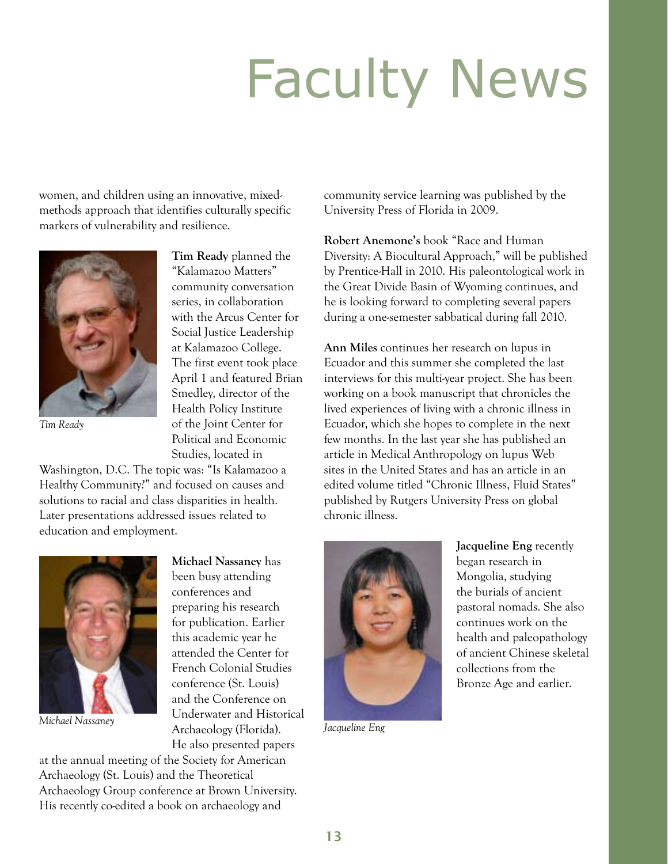## Faculty News

women, and children using an innovative, mixedmethods approach that identifies culturally specific markers of vulnerability and resilience.



*Tim Ready*

**Tim Ready** planned the "Kalamazoo Matters" community conversation series, in collaboration with the Arcus Center for Social Justice Leadership at Kalamazoo College. The first event took place April 1 and featured Brian Smedley, director of the Health Policy Institute of the Joint Center for Political and Economic Studies, located in

Washington, D.C. The topic was: "Is Kalamazoo a Healthy Community?" and focused on causes and solutions to racial and class disparities in health. Later presentations addressed issues related to education and employment.



**Michael Nassaney** has been busy attending conferences and preparing his research for publication. Earlier this academic year he attended the Center for French Colonial Studies conference (St. Louis) and the Conference on Underwater and Historical Archaeology (Florida). *Michael Nassaney Jacqueline Eng* He also presented papers

at the annual meeting of the Society for American Archaeology (St. Louis) and the Theoretical Archaeology Group conference at Brown University. His recently co-edited a book on archaeology and

community service learning was published by the University Press of Florida in 2009.

**Robert Anemone's** book "Race and Human Diversity: A Biocultural Approach," will be published by Prentice-Hall in 2010. His paleontological work in the Great Divide Basin of Wyoming continues, and he is looking forward to completing several papers during a one-semester sabbatical during fall 2010.

**Ann Miles** continues her research on lupus in Ecuador and this summer she completed the last interviews for this multi-year project. She has been working on a book manuscript that chronicles the lived experiences of living with a chronic illness in Ecuador, which she hopes to complete in the next few months. In the last year she has published an article in Medical Anthropology on lupus Web sites in the United States and has an article in an edited volume titled "Chronic Illness, Fluid States" published by Rutgers University Press on global chronic illness.



**Jacqueline Eng** recently began research in Mongolia, studying the burials of ancient pastoral nomads. She also continues work on the health and paleopathology of ancient Chinese skeletal collections from the Bronze Age and earlier.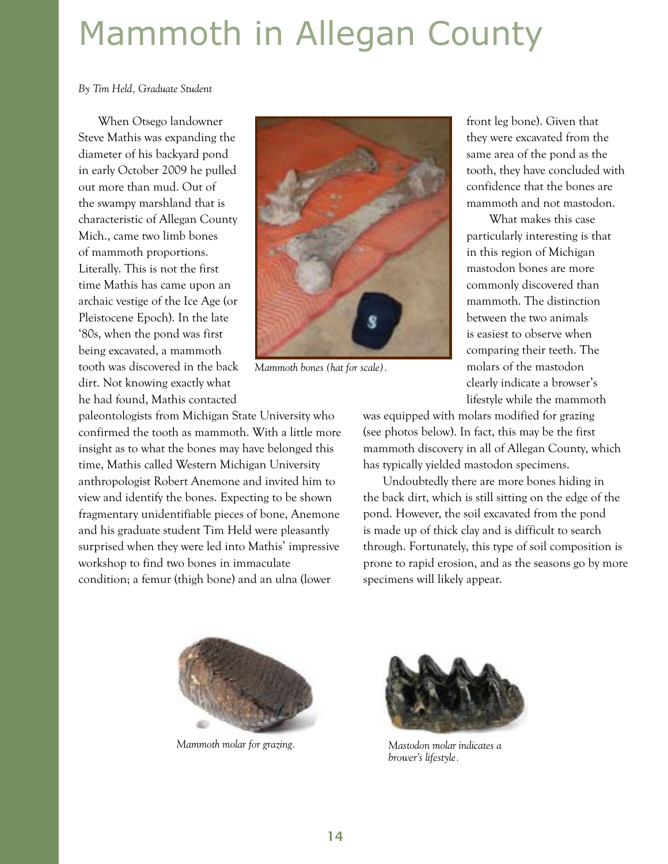## Mammoth in Allegan County

*By Tim Held, Graduate Student*

When Otsego landowner Steve Mathis was expanding the diameter of his backyard pond in early October 2009 he pulled out more than mud. Out of the swampy marshland that is characteristic of Allegan County Mich., came two limb bones of mammoth proportions. Literally. This is not the first time Mathis has came upon an archaic vestige of the Ice Age (or Pleistocene Epoch). In the late '80s, when the pond was first being excavated, a mammoth tooth was discovered in the back dirt. Not knowing exactly what he had found, Mathis contacted



*Mammoth bones (hat for scale).*

paleontologists from Michigan State University who confirmed the tooth as mammoth. With a little more insight as to what the bones may have belonged this time, Mathis called Western Michigan University anthropologist Robert Anemone and invited him to view and identify the bones. Expecting to be shown fragmentary unidentifiable pieces of bone, Anemone and his graduate student Tim Held were pleasantly surprised when they were led into Mathis' impressive workshop to find two bones in immaculate condition; a femur (thigh bone) and an ulna (lower

front leg bone). Given that they were excavated from the same area of the pond as the tooth, they have concluded with confidence that the bones are mammoth and not mastodon.

 What makes this case particularly interesting is that in this region of Michigan mastodon bones are more commonly discovered than mammoth. The distinction between the two animals is easiest to observe when comparing their teeth. The molars of the mastodon clearly indicate a browser's lifestyle while the mammoth

was equipped with molars modified for grazing (see photos below). In fact, this may be the first mammoth discovery in all of Allegan County, which has typically yielded mastodon specimens.

Undoubtedly there are more bones hiding in the back dirt, which is still sitting on the edge of the pond. However, the soil excavated from the pond is made up of thick clay and is difficult to search through. Fortunately, this type of soil composition is prone to rapid erosion, and as the seasons go by more specimens will likely appear.



*Mammoth molar for grazing. Mastodon molar indicates a* 



*brower's lifestyle.*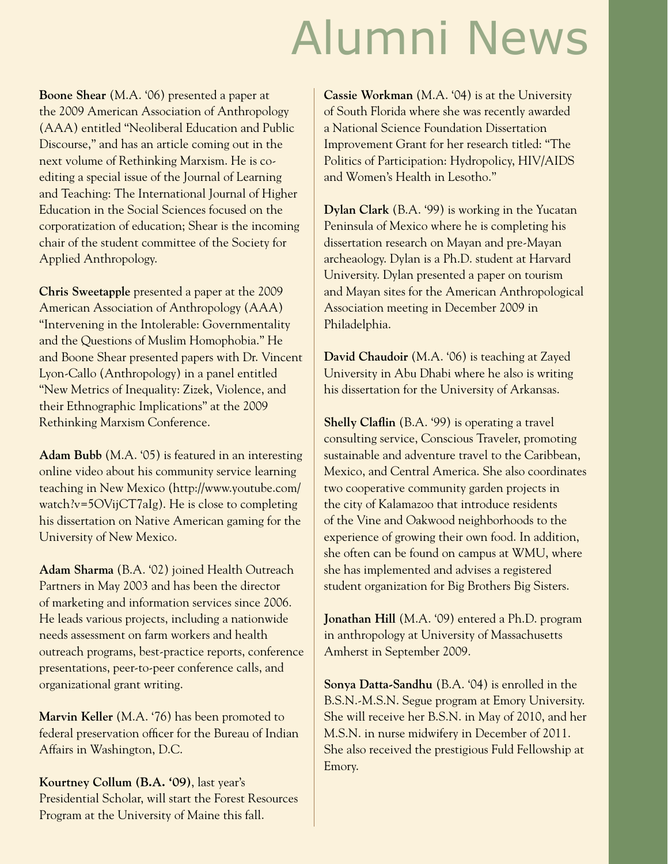## Alumni News

**Boone Shear** (M.A. '06) presented a paper at the 2009 American Association of Anthropology (AAA) entitled "Neoliberal Education and Public Discourse," and has an article coming out in the next volume of Rethinking Marxism. He is coediting a special issue of the Journal of Learning and Teaching: The International Journal of Higher Education in the Social Sciences focused on the corporatization of education; Shear is the incoming chair of the student committee of the Society for Applied Anthropology.

**Chris Sweetapple** presented a paper at the 2009 American Association of Anthropology (AAA) "Intervening in the Intolerable: Governmentality and the Questions of Muslim Homophobia." He and Boone Shear presented papers with Dr. Vincent Lyon-Callo (Anthropology) in a panel entitled "New Metrics of Inequality: Zizek, Violence, and their Ethnographic Implications" at the 2009 Rethinking Marxism Conference.

**Adam Bubb** (M.A. '05) is featured in an interesting online video about his community service learning teaching in New Mexico (http://www.youtube.com/ watch?v=5OVijCT7aIg). He is close to completing his dissertation on Native American gaming for the University of New Mexico.

**Adam Sharma** (B.A. '02) joined Health Outreach Partners in May 2003 and has been the director of marketing and information services since 2006. He leads various projects, including a nationwide needs assessment on farm workers and health outreach programs, best-practice reports, conference presentations, peer-to-peer conference calls, and organizational grant writing.

**Marvin Keller** (M.A. '76) has been promoted to federal preservation officer for the Bureau of Indian Affairs in Washington, D.C.

**Kourtney Collum (B.A. '09)**, last year's Presidential Scholar, will start the Forest Resources Program at the University of Maine this fall.

**Cassie Workman** (M.A. '04) is at the University of South Florida where she was recently awarded a National Science Foundation Dissertation Improvement Grant for her research titled: "The Politics of Participation: Hydropolicy, HIV/AIDS and Women's Health in Lesotho."

**Dylan Clark** (B.A. '99) is working in the Yucatan Peninsula of Mexico where he is completing his dissertation research on Mayan and pre-Mayan archeaology. Dylan is a Ph.D. student at Harvard University. Dylan presented a paper on tourism and Mayan sites for the American Anthropological Association meeting in December 2009 in Philadelphia.

**David Chaudoir** (M.A. '06) is teaching at Zayed University in Abu Dhabi where he also is writing his dissertation for the University of Arkansas.

**Shelly Claflin** (B.A. '99) is operating a travel consulting service, Conscious Traveler, promoting sustainable and adventure travel to the Caribbean, Mexico, and Central America. She also coordinates two cooperative community garden projects in the city of Kalamazoo that introduce residents of the Vine and Oakwood neighborhoods to the experience of growing their own food. In addition, she often can be found on campus at WMU, where she has implemented and advises a registered student organization for Big Brothers Big Sisters.

**Jonathan Hill** (M.A. '09) entered a Ph.D. program in anthropology at University of Massachusetts Amherst in September 2009.

**Sonya Datta-Sandhu** (B.A. '04) is enrolled in the B.S.N.-M.S.N. Segue program at Emory University. She will receive her B.S.N. in May of 2010, and her M.S.N. in nurse midwifery in December of 2011. She also received the prestigious Fuld Fellowship at Emory.